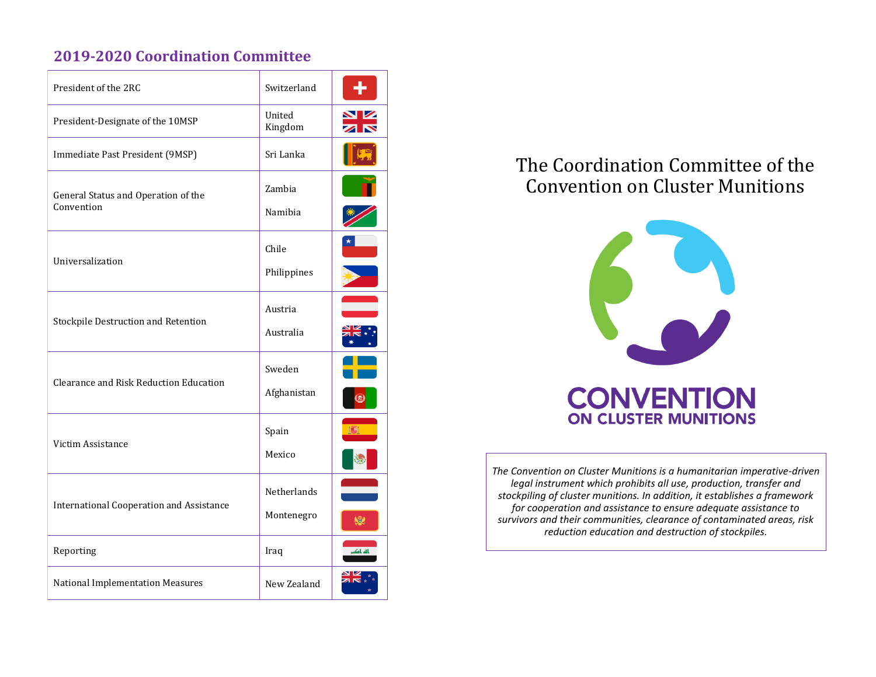## **2019-2020 Coordination Committee**

| President of the 2RC                              | Switzerland       |           |
|---------------------------------------------------|-------------------|-----------|
| President-Designate of the 10MSP                  | United<br>Kingdom |           |
| Immediate Past President (9MSP)                   | Sri Lanka         |           |
| General Status and Operation of the<br>Convention | Zambia            |           |
|                                                   | Namibia           |           |
| Universalization                                  | Chile             |           |
|                                                   | Philippines       |           |
| Stockpile Destruction and Retention               | Austria           |           |
|                                                   | Australia         |           |
| Clearance and Risk Reduction Education            | Sweden            |           |
|                                                   | Afghanistan       |           |
| Victim Assistance                                 | Spain             | ĩП        |
|                                                   | Mexico            |           |
| <b>International Cooperation and Assistance</b>   | Netherlands       |           |
|                                                   | Montenegro        |           |
| Reporting                                         | Iraq              | بالله باك |
| National Implementation Measures                  | New Zealand       |           |

# The Coordination Committee of the Convention on Cluster Munitions



*The Convention on Cluster Munitions is a humanitarian imperative-driven legal instrument which prohibits all use, production, transfer and stockpiling of cluster munitions. In addition, it establishes a framework for cooperation and assistance to ensure adequate assistance to survivors and their communities, clearance of contaminated areas, risk reduction education and destruction of stockpiles.*